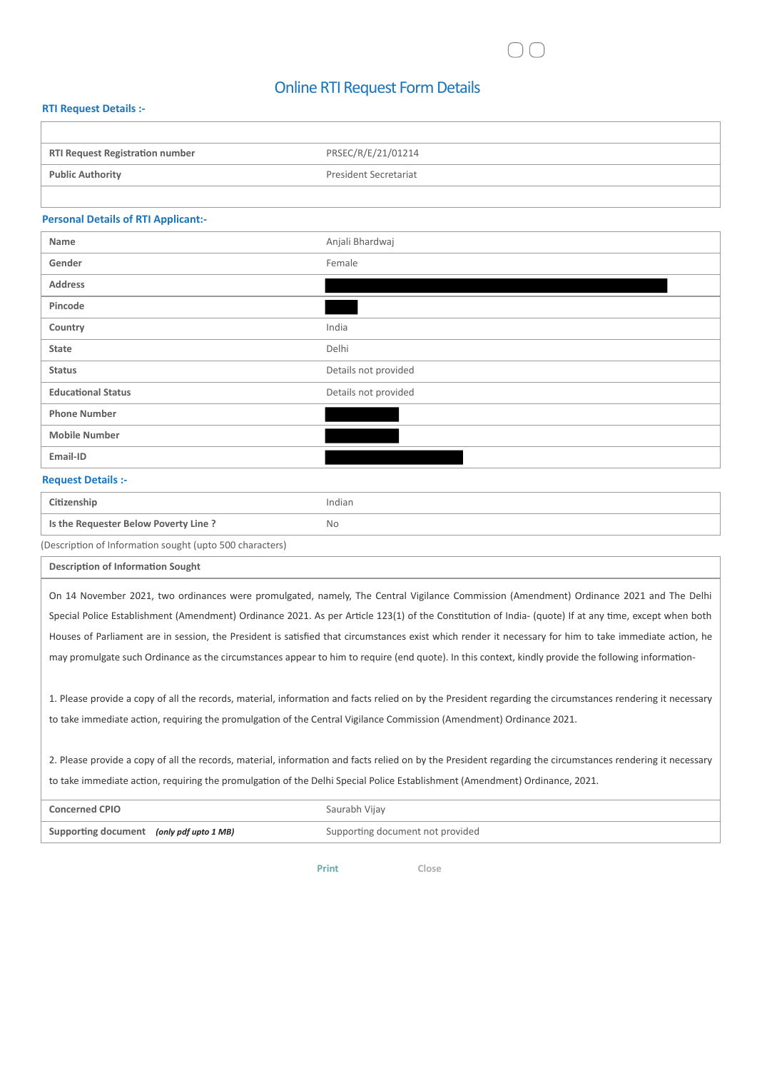## Online RTI Request Form Details

#### **RTI Request Details :-**

| <b>RTI Request Registration number</b> | PRSEC/R/E/21/01214    |
|----------------------------------------|-----------------------|
| <b>Public Authority</b>                | President Secretariat |
|                                        |                       |

#### **Personal Details of RTI Applicant:-**

| Name                      | Anjali Bhardwaj      |
|---------------------------|----------------------|
| Gender                    | Female               |
| <b>Address</b>            |                      |
| Pincode                   |                      |
| Country                   | India                |
| State                     | Delhi                |
| <b>Status</b>             | Details not provided |
| <b>Educational Status</b> | Details not provided |
| <b>Phone Number</b>       |                      |
| <b>Mobile Number</b>      |                      |
| Email-ID                  |                      |

### **Request Details :-**

| Citizenship                                              | Indian |
|----------------------------------------------------------|--------|
| Is the Requester Below Poverty Line?                     | No.    |
| (Description of Information sought (upto 500 characters) |        |

**Description of Information Sought**

On 14 November 2021, two ordinances were promulgated, namely, The Central Vigilance Commission (Amendment) Ordinance 2021 and The Delhi Special Police Establishment (Amendment) Ordinance 2021. As per Article 123(1) of the Constitution of India- (quote) If at any time, except when both Houses of Parliament are in session, the President is satisfied that circumstances exist which render it necessary for him to take immediate action, he may promulgate such Ordinance as the circumstances appear to him to require (end quote). In this context, kindly provide the following information-

1. Please provide a copy of all the records, material, information and facts relied on by the President regarding the circumstances rendering it necessary to take immediate action, requiring the promulgation of the Central Vigilance Commission (Amendment) Ordinance 2021.

2. Please provide a copy of all the records, material, information and facts relied on by the President regarding the circumstances rendering it necessary to take immediate action, requiring the promulgation of the Delhi Special Police Establishment (Amendment) Ordinance, 2021.

| <b>Concerned CPIO</b>                    | Saurabh Vijay                    |
|------------------------------------------|----------------------------------|
| Supporting document (only pdf upto 1 MB) | Supporting document not provided |

**Print Close**